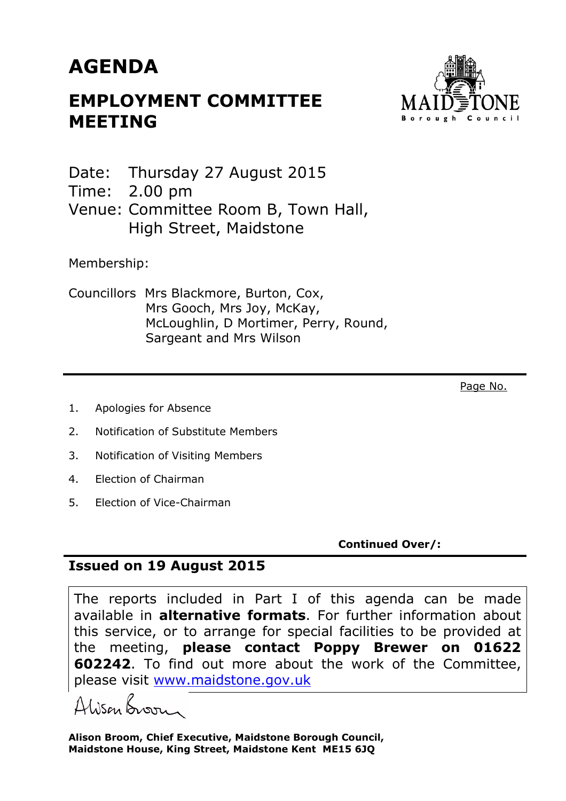## **AGENDA**

## **EMPLOYMENT COMMITTEE MEETING**



Date: Thursday 27 August 2015

Time: 2.00 pm

Venue: Committee Room B, Town Hall, High Street, Maidstone

Membership:

Councillors Mrs Blackmore, Burton, Cox, Mrs Gooch, Mrs Joy, McKay, McLoughlin, D Mortimer, Perry, Round, Sargeant and Mrs Wilson

Page No.

- 1. Apologies for Absence
- 2. Notification of Substitute Members
- 3. Notification of Visiting Members
- 4. Election of Chairman
- 5. Election of Vice-Chairman

**Continued Over/:** 

## **Issued on 19 August 2015**

The reports included in Part I of this agenda can be made available in **alternative formats**. For further information about this service, or to arrange for special facilities to be provided at the meeting, **please contact Poppy Brewer on 01622 602242**. To find out more about the work of the Committee, please visit www.maidstone.gov.uk

Alisan Broom

**Alison Broom, Chief Executive, Maidstone Borough Council, Maidstone House, King Street, Maidstone Kent ME15 6JQ**